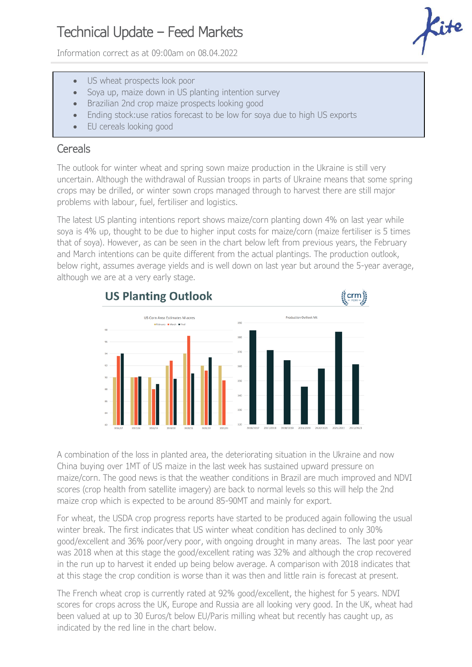## Technical Update – Feed Markets

Information correct as at 09:00am on 08.04.2022

- US wheat prospects look poor
- Soya up, maize down in US planting intention survey
- Brazilian 2nd crop maize prospects looking good
- Ending stock:use ratios forecast to be low for soya due to high US exports
- EU cereals looking good

## **Cereals**

The outlook for winter wheat and spring sown maize production in the Ukraine is still very uncertain. Although the withdrawal of Russian troops in parts of Ukraine means that some spring crops may be drilled, or winter sown crops managed through to harvest there are still major problems with labour, fuel, fertiliser and logistics.

The latest US planting intentions report shows maize/corn planting down 4% on last year while soya is 4% up, thought to be due to higher input costs for maize/corn (maize fertiliser is 5 times that of soya). However, as can be seen in the chart below left from previous years, the February and March intentions can be quite different from the actual plantings. The production outlook, below right, assumes average yields and is well down on last year but around the 5-year average, although we are at a very early stage.



A combination of the loss in planted area, the deteriorating situation in the Ukraine and now China buying over 1MT of US maize in the last week has sustained upward pressure on maize/corn. The good news is that the weather conditions in Brazil are much improved and NDVI scores (crop health from satellite imagery) are back to normal levels so this will help the 2nd maize crop which is expected to be around 85-90MT and mainly for export.

For wheat, the USDA crop progress reports have started to be produced again following the usual winter break. The first indicates that US winter wheat condition has declined to only 30% good/excellent and 36% poor/very poor, with ongoing drought in many areas. The last poor year was 2018 when at this stage the good/excellent rating was 32% and although the crop recovered in the run up to harvest it ended up being below average. A comparison with 2018 indicates that at this stage the crop condition is worse than it was then and little rain is forecast at present.

The French wheat crop is currently rated at 92% good/excellent, the highest for 5 years. NDVI scores for crops across the UK, Europe and Russia are all looking very good. In the UK, wheat had been valued at up to 30 Euros/t below EU/Paris milling wheat but recently has caught up, as indicated by the red line in the chart below.

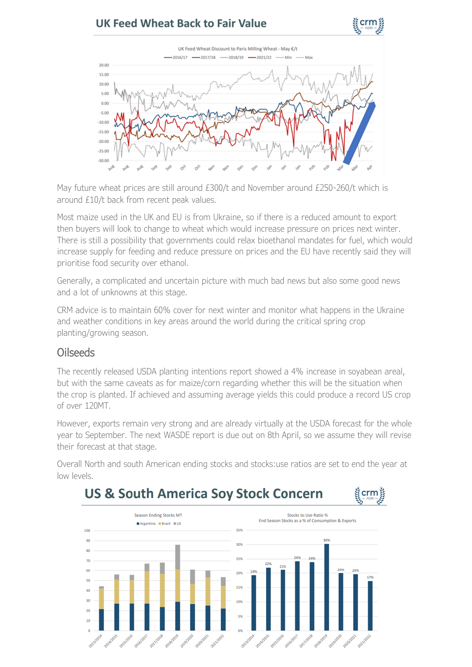## UK Feed Wheat Back to Fair Value





May future wheat prices are still around £300/t and November around £250-260/t which is around £10/t back from recent peak values.

Most maize used in the UK and EU is from Ukraine, so if there is a reduced amount to export then buyers will look to change to wheat which would increase pressure on prices next winter. There is still a possibility that governments could relax bioethanol mandates for fuel, which would increase supply for feeding and reduce pressure on prices and the EU have recently said they will prioritise food security over ethanol.

Generally, a complicated and uncertain picture with much bad news but also some good news and a lot of unknowns at this stage.

CRM advice is to maintain 60% cover for next winter and monitor what happens in the Ukraine and weather conditions in key areas around the world during the critical spring crop planting/growing season.

## Oilseeds

The recently released USDA planting intentions report showed a 4% increase in soyabean areal, but with the same caveats as for maize/corn regarding whether this will be the situation when the crop is planted. If achieved and assuming average yields this could produce a record US crop of over 120MT.

However, exports remain very strong and are already virtually at the USDA forecast for the whole year to September. The next WASDE report is due out on 8th April, so we assume they will revise their forecast at that stage.

Overall North and south American ending stocks and stocks:use ratios are set to end the year at low levels.